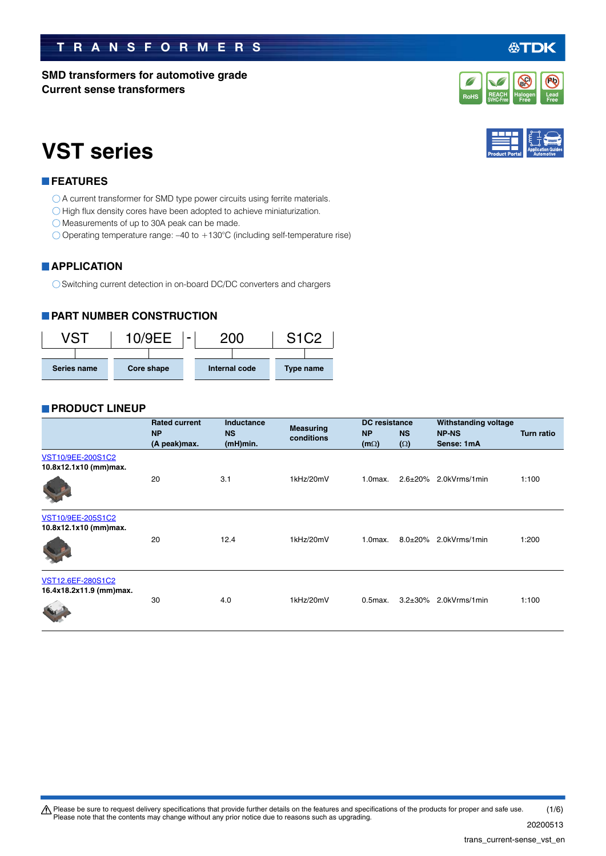#### $\bigwedge$  Please be sure to request delivery specifications that provide further details on the features and specifications of the products for proper and safe use. Please note that the contents may change without any prior notice due to reasons such as upgrading. 20200513 (1/6)

# **TRANSFORMERS**

**SMD transformers for automotive grade**

**Current sense transformers**

# **VST series**

# **FEATURES**

- O A current transformer for SMD type power circuits using ferrite materials.
- $\bigcirc$  High flux density cores have been adopted to achieve miniaturization.
- Measurements of up to 30A peak can be made.
- Operating temperature range: –40 to +130°C (including self-temperature rise)

# **APPLICATION**

◯ Switching current detection in on-board DC/DC converters and chargers

# **PART NUMBER CONSTRUCTION**



### **PRODUCT LINEUP**

|                                              | <b>Rated current</b><br><b>NP</b><br>(A peak)max. | <b>Inductance</b><br><b>NS</b><br>(mH)min. | <b>Measuring</b><br>conditions | <b>DC</b> resistance<br><b>NP</b><br>$(m\Omega)$ | <b>NS</b><br>$(\Omega)$ | <b>Withstanding voltage</b><br><b>NP-NS</b><br>Sense: 1mA | <b>Turn ratio</b> |
|----------------------------------------------|---------------------------------------------------|--------------------------------------------|--------------------------------|--------------------------------------------------|-------------------------|-----------------------------------------------------------|-------------------|
| VST10/9EE-200S1C2<br>10.8x12.1x10 (mm)max.   | 20                                                | 3.1                                        | 1kHz/20mV                      | $1.0$ max.                                       |                         | $2.6\pm20\%$ 2.0kVrms/1min                                | 1:100             |
| VST10/9EE-205S1C2<br>10.8x12.1x10 (mm)max.   | 20                                                | 12.4                                       | 1kHz/20mV                      | $1.0$ $max.$                                     | $8.0 + 20\%$            | 2.0kVrms/1min                                             | 1:200             |
| VST12.6EF-280S1C2<br>16.4x18.2x11.9 (mm)max. | 30                                                | 4.0                                        | 1kHz/20mV                      | $0.5$ max.                                       | $3.2 \pm 30\%$          | 2.0kVrms/1min                                             | 1:100             |





## 公丁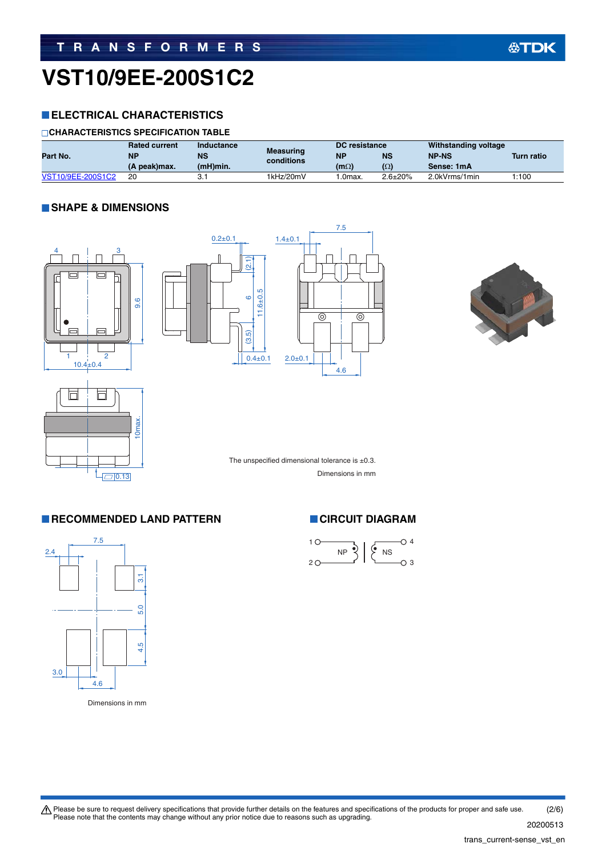# **VST10/9EE-200S1C2**

### **ELECTRICAL CHARACTERISTICS**

### **CHARACTERISTICS SPECIFICATION TABLE**

|                   | <b>Rated current</b> | Inductance  |                                | DC resistance |                | Withstanding voltage |                   |
|-------------------|----------------------|-------------|--------------------------------|---------------|----------------|----------------------|-------------------|
| Part No.          | <b>NP</b>            | <b>NS</b>   | <b>Measuring</b><br>conditions | <b>NF</b>     | <b>NS</b>      | <b>NP-NS</b>         | <b>Turn ratio</b> |
|                   | (A peak)max.         | $(mH)$ min. |                                | $(m\Omega)$   | $(\Omega)$     | Sense: 1mA           |                   |
| VST10/9EE-200S1C2 | 20                   | ັ.          | 1kHz/20mV                      | .0max.        | $2.6 \pm 20\%$ | 2.0kVrms/1min        | 1:100             |

### **SHAPE & DIMENSIONS**











The unspecified dimensional tolerance is  $\pm 0.3$ . Dimensions in mm

### **RECOMMENDED LAND PATTERN CIRCUIT DIAGRAM**



Dimensions in mm

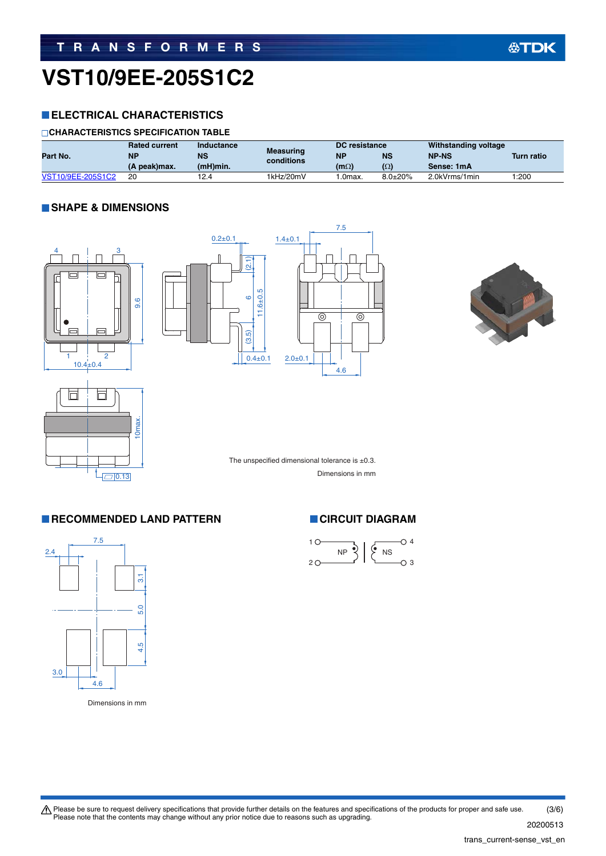# **VST10/9EE-205S1C2**

### **ELECTRICAL CHARACTERISTICS**

### **CHARACTERISTICS SPECIFICATION TABLE**

|                   | <b>Rated current</b> | Inductance |                                | DC resistance |                | Withstanding voltage |                   |
|-------------------|----------------------|------------|--------------------------------|---------------|----------------|----------------------|-------------------|
| Part No.          | <b>NP</b>            | NS         | <b>Measuring</b><br>conditions | <b>NF</b>     | <b>NS</b>      | <b>NP-NS</b>         | <b>Turn ratio</b> |
|                   | (A peak)max.         | (mH)min.   |                                | $(m\Omega)$   | $(\Omega)$     | Sense: 1mA           |                   |
| VST10/9EE-205S1C2 | 20                   | 12.4       | 1kHz/20mV                      | .0max.        | $8.0 \pm 20\%$ | 2.0kVrms/1min        | 1:200             |

### **SHAPE & DIMENSIONS**











The unspecified dimensional tolerance is  $\pm 0.3$ . Dimensions in mm

### **RECOMMENDED LAND PATTERN CIRCUIT DIAGRAM**



Dimensions in mm

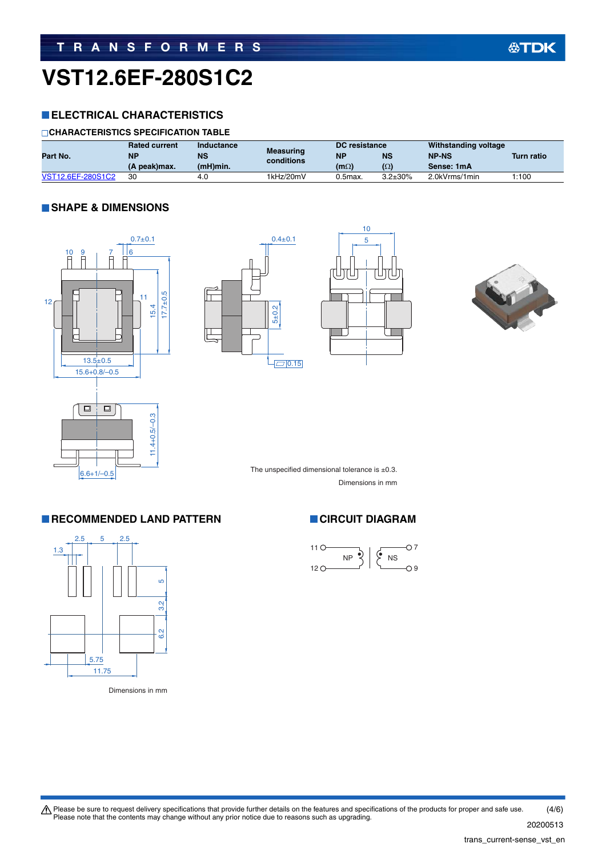# **VST12.6EF-280S1C2**

### **ELECTRICAL CHARACTERISTICS**

### **CHARACTERISTICS SPECIFICATION TABLE**

|                   | <b>Rated current</b> | Inductance  |                                | DC resistance |                | Withstanding voltage |                   |
|-------------------|----------------------|-------------|--------------------------------|---------------|----------------|----------------------|-------------------|
| Part No.          | <b>NP</b>            | <b>NS</b>   | <b>Measuring</b><br>conditions | <b>NF</b>     | <b>NS</b>      | <b>NP-NS</b>         | <b>Turn ratio</b> |
|                   | (A peak)max.         | $(mH)$ min. |                                | $(m\Omega)$   | $(\Omega)$     | Sense: 1mA           |                   |
| VST12.6EF-280S1C2 | 30                   | 4.C         | 1kHz/20mV                      | $0.5$ max.    | $3.2 \pm 30\%$ | 2.0kVrms/1min        | 1:100             |

### **SHAPE & DIMENSIONS**









The unspecified dimensional tolerance is  $\pm 0.3$ . Dimensions in mm

### **RECOMMENDED LAND PATTERN CIRCUIT DIAGRAM**



Dimensions in mm



Please be sure to request delivery specifications that provide further details on the features and specifications of the products for proper and safe use.<br>Please note that the contents may change without any prior notice d 20200513 (4/6)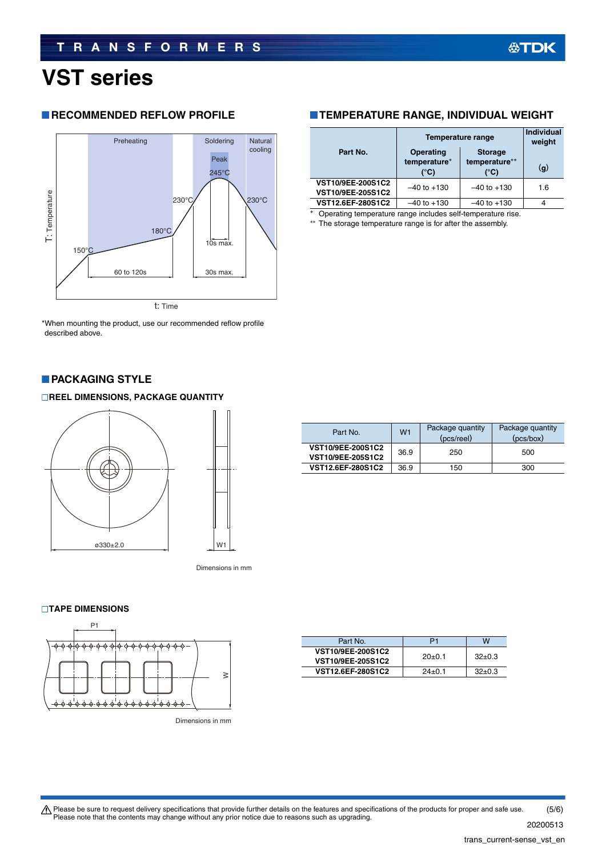# **VST series**

### **RECOMMENDED REFLOW PROFILE**



\*When mounting the product, use our recommended reflow profile described above.

### **PACKAGING STYLE**

### **REEL DIMENSIONS, PACKAGE QUANTITY**



Dimensions in mm

### **TAPE DIMENSIONS**



Dimensions in mm

| Part No.          | P1       | w        |
|-------------------|----------|----------|
| VST10/9EE-200S1C2 | $20+0.1$ | $32+0.3$ |
| VST10/9EE-205S1C2 |          |          |
| VST12.6EF-280S1C2 | $24+0.1$ | $32+0.3$ |

### **TEMPERATURE RANGE, INDIVIDUAL WEIGHT**

| Part No.                               | Operating<br>temperature*<br>(°C) | <b>Temperature range</b><br><b>Storage</b><br>temperature**<br>(°C) | Individual<br>weight<br>(q) |
|----------------------------------------|-----------------------------------|---------------------------------------------------------------------|-----------------------------|
| VST10/9EE-200S1C2<br>VST10/9EE-205S1C2 | $-40$ to $+130$                   | $-40$ to $+130$                                                     | 1.6                         |
| VST12.6EF-280S1C2                      | $-40$ to $+130$                   | $-40$ to $+130$                                                     | 4                           |

Operating temperature range includes self-temperature rise.

The storage temperature range is for after the assembly.

| Part No.                               | W <sub>1</sub> | Package quantity<br>(pcs/reel) | Package quantity<br>(pcs/box) |  |
|----------------------------------------|----------------|--------------------------------|-------------------------------|--|
| VST10/9EE-200S1C2<br>VST10/9EE-205S1C2 | 36.9           | 250                            | 500                           |  |
| VST12.6EF-280S1C2                      | 36.9           | 150                            | 300                           |  |

Please be sure to request delivery specifications that provide further details on the features and specifications of the products for proper and safe use.<br>Please note that the contents may change without any prior notice d (5/6)